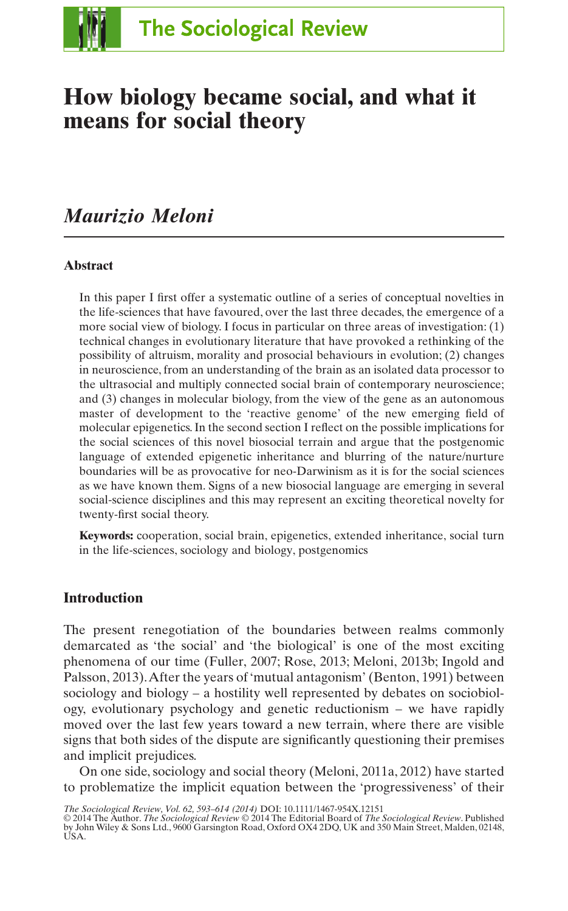# **How biology became social, and what it means for social theory**

# *Maurizio Meloni*

#### **Abstract**

In this paper I first offer a systematic outline of a series of conceptual novelties in the life-sciences that have favoured, over the last three decades, the emergence of a more social view of biology. I focus in particular on three areas of investigation: (1) technical changes in evolutionary literature that have provoked a rethinking of the possibility of altruism, morality and prosocial behaviours in evolution; (2) changes in neuroscience, from an understanding of the brain as an isolated data processor to the ultrasocial and multiply connected social brain of contemporary neuroscience; and (3) changes in molecular biology, from the view of the gene as an autonomous master of development to the 'reactive genome' of the new emerging field of molecular epigenetics. In the second section I reflect on the possible implications for the social sciences of this novel biosocial terrain and argue that the postgenomic language of extended epigenetic inheritance and blurring of the nature/nurture boundaries will be as provocative for neo-Darwinism as it is for the social sciences as we have known them. Signs of a new biosocial language are emerging in several social-science disciplines and this may represent an exciting theoretical novelty for twenty-first social theory.

**Keywords:** cooperation, social brain, epigenetics, extended inheritance, social turn in the life-sciences, sociology and biology, postgenomics

## **Introduction**

The present renegotiation of the boundaries between realms commonly demarcated as 'the social' and 'the biological' is one of the most exciting phenomena of our time (Fuller, 2007; Rose, 2013; Meloni, 2013b; Ingold and Palsson, 2013).After the years of 'mutual antagonism' (Benton, 1991) between sociology and biology – a hostility well represented by debates on sociobiology, evolutionary psychology and genetic reductionism – we have rapidly moved over the last few years toward a new terrain, where there are visible signs that both sides of the dispute are significantly questioning their premises and implicit prejudices.

On one side, sociology and social theory (Meloni, 2011a, 2012) have started to problematize the implicit equation between the 'progressiveness' of their

*The Sociological Review, Vol. 62, 593–614 (2014) DOI: 10.1111/1467-954X.12151<br>© 2014 The Author. <i>The Sociological Review © 2014 The Editorial Board of The Sociological Review.* Published<br>by John Wiley & Sons Ltd., 9600 G USA.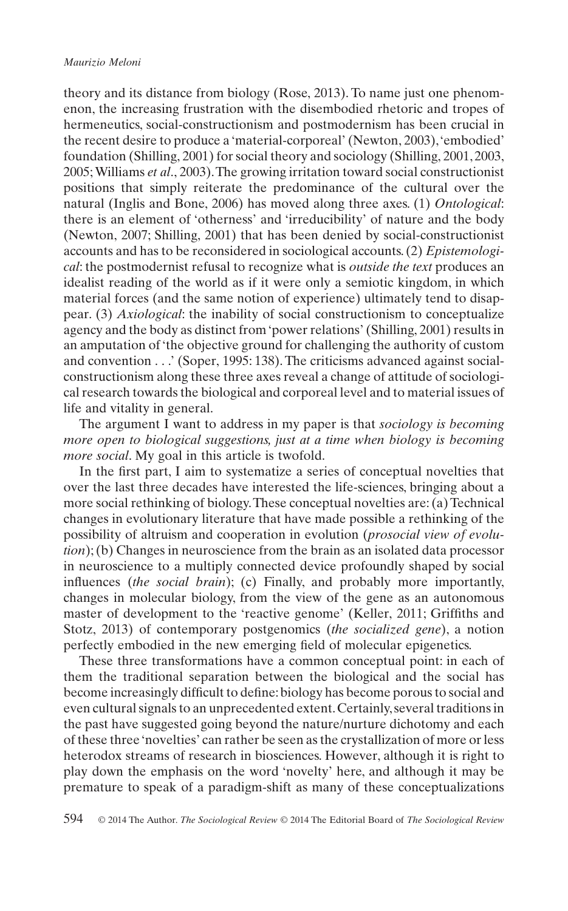theory and its distance from biology (Rose, 2013). To name just one phenomenon, the increasing frustration with the disembodied rhetoric and tropes of hermeneutics, social-constructionism and postmodernism has been crucial in the recent desire to produce a 'material-corporeal' (Newton, 2003),'embodied' foundation (Shilling, 2001) for social theory and sociology (Shilling, 2001, 2003, 2005;Williams *et al*., 2003).The growing irritation toward social constructionist positions that simply reiterate the predominance of the cultural over the natural (Inglis and Bone, 2006) has moved along three axes. (1) *Ontological*: there is an element of 'otherness' and 'irreducibility' of nature and the body (Newton, 2007; Shilling, 2001) that has been denied by social-constructionist accounts and has to be reconsidered in sociological accounts. (2) *Epistemological*: the postmodernist refusal to recognize what is *outside the text* produces an idealist reading of the world as if it were only a semiotic kingdom, in which material forces (and the same notion of experience) ultimately tend to disappear. (3) *Axiological*: the inability of social constructionism to conceptualize agency and the body as distinct from'power relations' (Shilling, 2001) results in an amputation of 'the objective ground for challenging the authority of custom and convention . . .' (Soper, 1995: 138). The criticisms advanced against socialconstructionism along these three axes reveal a change of attitude of sociological research towards the biological and corporeal level and to material issues of life and vitality in general.

The argument I want to address in my paper is that *sociology is becoming more open to biological suggestions, just at a time when biology is becoming more social*. My goal in this article is twofold.

In the first part, I aim to systematize a series of conceptual novelties that over the last three decades have interested the life-sciences, bringing about a more social rethinking of biology.These conceptual novelties are: (a) Technical changes in evolutionary literature that have made possible a rethinking of the possibility of altruism and cooperation in evolution (*prosocial view of evolution*); (b) Changes in neuroscience from the brain as an isolated data processor in neuroscience to a multiply connected device profoundly shaped by social influences (*the social brain*); (c) Finally, and probably more importantly, changes in molecular biology, from the view of the gene as an autonomous master of development to the 'reactive genome' (Keller, 2011; Griffiths and Stotz, 2013) of contemporary postgenomics (*the socialized gene*), a notion perfectly embodied in the new emerging field of molecular epigenetics.

These three transformations have a common conceptual point: in each of them the traditional separation between the biological and the social has become increasingly difficult to define: biology has become porous to social and even cultural signals to an unprecedented extent.Certainly, several traditions in the past have suggested going beyond the nature/nurture dichotomy and each of these three'novelties' can rather be seen as the crystallization of more or less heterodox streams of research in biosciences. However, although it is right to play down the emphasis on the word 'novelty' here, and although it may be premature to speak of a paradigm-shift as many of these conceptualizations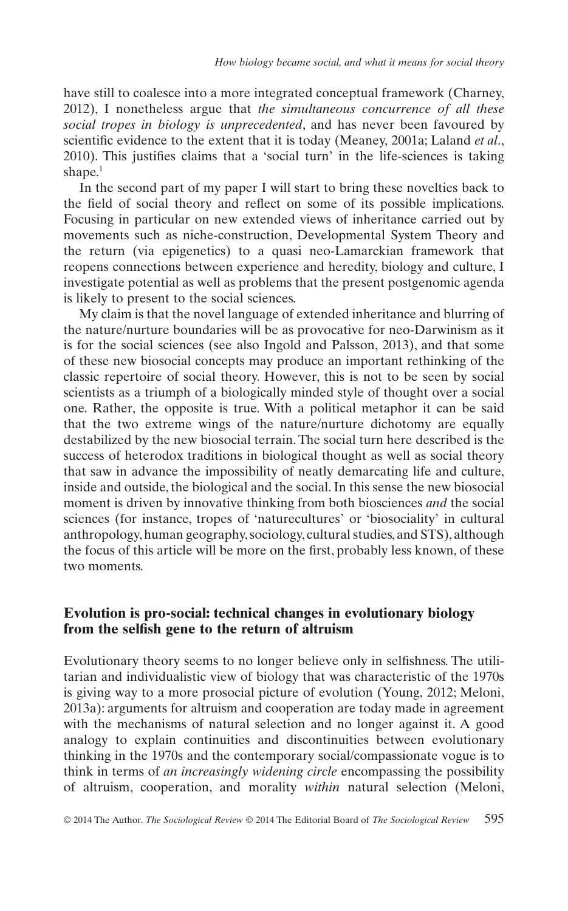have still to coalesce into a more integrated conceptual framework (Charney, 2012), I nonetheless argue that *the simultaneous concurrence of all these social tropes in biology is unprecedented*, and has never been favoured by scientific evidence to the extent that it is today (Meaney, 2001a; Laland *et al*., 2010). This justifies claims that a 'social turn' in the life-sciences is taking shape. $1$ 

In the second part of my paper I will start to bring these novelties back to the field of social theory and reflect on some of its possible implications. Focusing in particular on new extended views of inheritance carried out by movements such as niche-construction, Developmental System Theory and the return (via epigenetics) to a quasi neo-Lamarckian framework that reopens connections between experience and heredity, biology and culture, I investigate potential as well as problems that the present postgenomic agenda is likely to present to the social sciences.

My claim is that the novel language of extended inheritance and blurring of the nature/nurture boundaries will be as provocative for neo-Darwinism as it is for the social sciences (see also Ingold and Palsson, 2013), and that some of these new biosocial concepts may produce an important rethinking of the classic repertoire of social theory. However, this is not to be seen by social scientists as a triumph of a biologically minded style of thought over a social one. Rather, the opposite is true. With a political metaphor it can be said that the two extreme wings of the nature/nurture dichotomy are equally destabilized by the new biosocial terrain. The social turn here described is the success of heterodox traditions in biological thought as well as social theory that saw in advance the impossibility of neatly demarcating life and culture, inside and outside, the biological and the social. In this sense the new biosocial moment is driven by innovative thinking from both biosciences *and* the social sciences (for instance, tropes of 'naturecultures' or 'biosociality' in cultural anthropology, human geography, sociology, cultural studies, and STS), although the focus of this article will be more on the first, probably less known, of these two moments.

#### **Evolution is pro-social: technical changes in evolutionary biology from the selfish gene to the return of altruism**

Evolutionary theory seems to no longer believe only in selfishness. The utilitarian and individualistic view of biology that was characteristic of the 1970s is giving way to a more prosocial picture of evolution (Young, 2012; Meloni, 2013a): arguments for altruism and cooperation are today made in agreement with the mechanisms of natural selection and no longer against it. A good analogy to explain continuities and discontinuities between evolutionary thinking in the 1970s and the contemporary social/compassionate vogue is to think in terms of *an increasingly widening circle* encompassing the possibility of altruism, cooperation, and morality *within* natural selection (Meloni,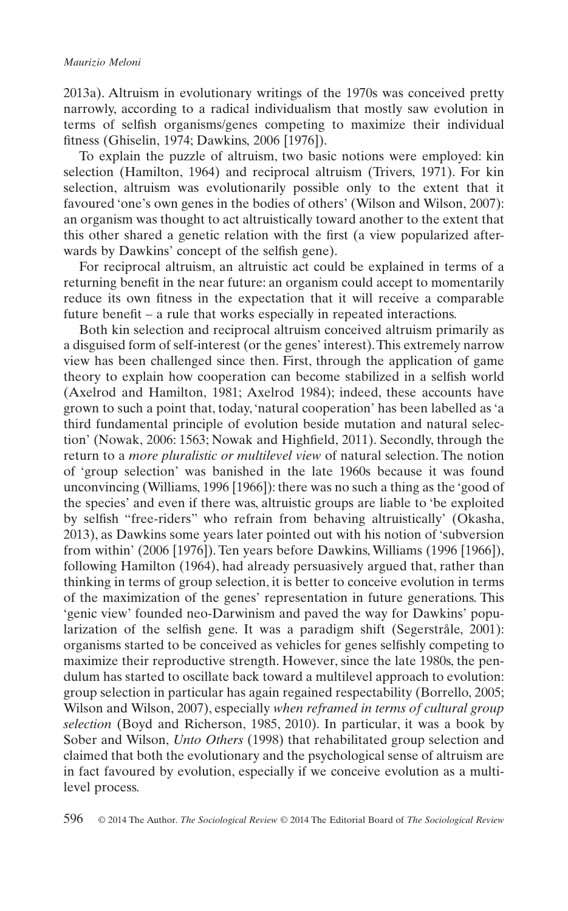2013a). Altruism in evolutionary writings of the 1970s was conceived pretty narrowly, according to a radical individualism that mostly saw evolution in terms of selfish organisms/genes competing to maximize their individual fitness (Ghiselin, 1974; Dawkins, 2006 [1976]).

To explain the puzzle of altruism, two basic notions were employed: kin selection (Hamilton, 1964) and reciprocal altruism (Trivers, 1971). For kin selection, altruism was evolutionarily possible only to the extent that it favoured 'one's own genes in the bodies of others' (Wilson and Wilson, 2007): an organism was thought to act altruistically toward another to the extent that this other shared a genetic relation with the first (a view popularized afterwards by Dawkins' concept of the selfish gene).

For reciprocal altruism, an altruistic act could be explained in terms of a returning benefit in the near future: an organism could accept to momentarily reduce its own fitness in the expectation that it will receive a comparable future benefit – a rule that works especially in repeated interactions.

Both kin selection and reciprocal altruism conceived altruism primarily as a disguised form of self-interest (or the genes' interest).This extremely narrow view has been challenged since then. First, through the application of game theory to explain how cooperation can become stabilized in a selfish world (Axelrod and Hamilton, 1981; Axelrod 1984); indeed, these accounts have grown to such a point that, today, 'natural cooperation' has been labelled as 'a third fundamental principle of evolution beside mutation and natural selection' (Nowak, 2006: 1563; Nowak and Highfield, 2011). Secondly, through the return to a *more pluralistic or multilevel view* of natural selection. The notion of 'group selection' was banished in the late 1960s because it was found unconvincing (Williams, 1996 [1966]): there was no such a thing as the 'good of the species' and even if there was, altruistic groups are liable to 'be exploited by selfish "free-riders" who refrain from behaving altruistically' (Okasha, 2013), as Dawkins some years later pointed out with his notion of 'subversion from within' (2006 [1976]). Ten years before Dawkins,Williams (1996 [1966]), following Hamilton (1964), had already persuasively argued that, rather than thinking in terms of group selection, it is better to conceive evolution in terms of the maximization of the genes' representation in future generations. This 'genic view' founded neo-Darwinism and paved the way for Dawkins' popularization of the selfish gene. It was a paradigm shift (Segerstråle, 2001): organisms started to be conceived as vehicles for genes selfishly competing to maximize their reproductive strength. However, since the late 1980s, the pendulum has started to oscillate back toward a multilevel approach to evolution: group selection in particular has again regained respectability (Borrello, 2005; Wilson and Wilson, 2007), especially *when reframed in terms of cultural group selection* (Boyd and Richerson, 1985, 2010). In particular, it was a book by Sober and Wilson, *Unto Others* (1998) that rehabilitated group selection and claimed that both the evolutionary and the psychological sense of altruism are in fact favoured by evolution, especially if we conceive evolution as a multilevel process.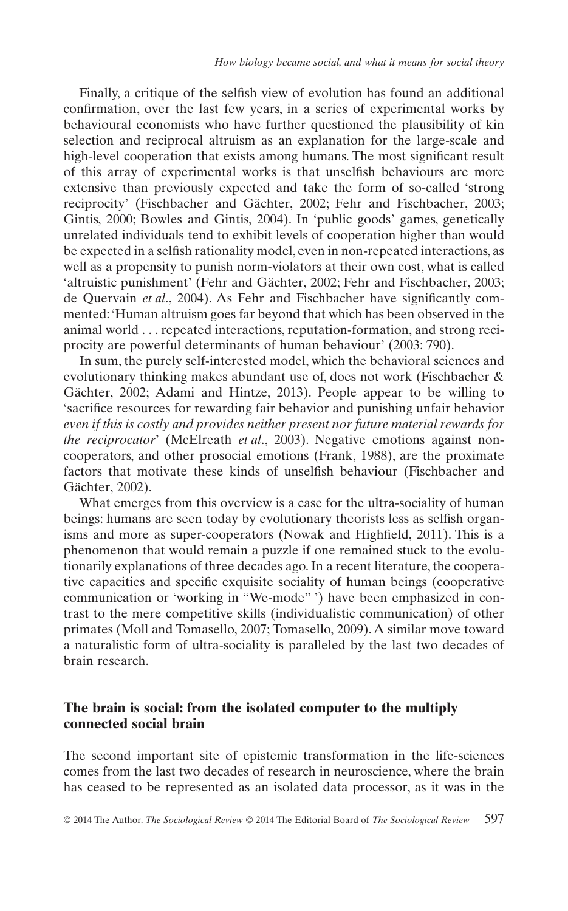Finally, a critique of the selfish view of evolution has found an additional confirmation, over the last few years, in a series of experimental works by behavioural economists who have further questioned the plausibility of kin selection and reciprocal altruism as an explanation for the large-scale and high-level cooperation that exists among humans. The most significant result of this array of experimental works is that unselfish behaviours are more extensive than previously expected and take the form of so-called 'strong reciprocity' (Fischbacher and Gächter, 2002; Fehr and Fischbacher, 2003; Gintis, 2000; Bowles and Gintis, 2004). In 'public goods' games, genetically unrelated individuals tend to exhibit levels of cooperation higher than would be expected in a selfish rationality model, even in non-repeated interactions, as well as a propensity to punish norm-violators at their own cost, what is called 'altruistic punishment' (Fehr and Gächter, 2002; Fehr and Fischbacher, 2003; de Quervain *et al*., 2004). As Fehr and Fischbacher have significantly commented:'Human altruism goes far beyond that which has been observed in the animal world . . . repeated interactions, reputation-formation, and strong reciprocity are powerful determinants of human behaviour' (2003: 790).

In sum, the purely self-interested model, which the behavioral sciences and evolutionary thinking makes abundant use of, does not work (Fischbacher & Gächter, 2002; Adami and Hintze, 2013). People appear to be willing to 'sacrifice resources for rewarding fair behavior and punishing unfair behavior *even if this is costly and provides neither present nor future material rewards for the reciprocator*' (McElreath *et al*., 2003). Negative emotions against noncooperators, and other prosocial emotions (Frank, 1988), are the proximate factors that motivate these kinds of unselfish behaviour (Fischbacher and Gächter, 2002).

What emerges from this overview is a case for the ultra-sociality of human beings: humans are seen today by evolutionary theorists less as selfish organisms and more as super-cooperators (Nowak and Highfield, 2011). This is a phenomenon that would remain a puzzle if one remained stuck to the evolutionarily explanations of three decades ago. In a recent literature, the cooperative capacities and specific exquisite sociality of human beings (cooperative communication or 'working in "We-mode" ') have been emphasized in contrast to the mere competitive skills (individualistic communication) of other primates (Moll and Tomasello, 2007; Tomasello, 2009).A similar move toward a naturalistic form of ultra-sociality is paralleled by the last two decades of brain research.

## **The brain is social: from the isolated computer to the multiply connected social brain**

The second important site of epistemic transformation in the life-sciences comes from the last two decades of research in neuroscience, where the brain has ceased to be represented as an isolated data processor, as it was in the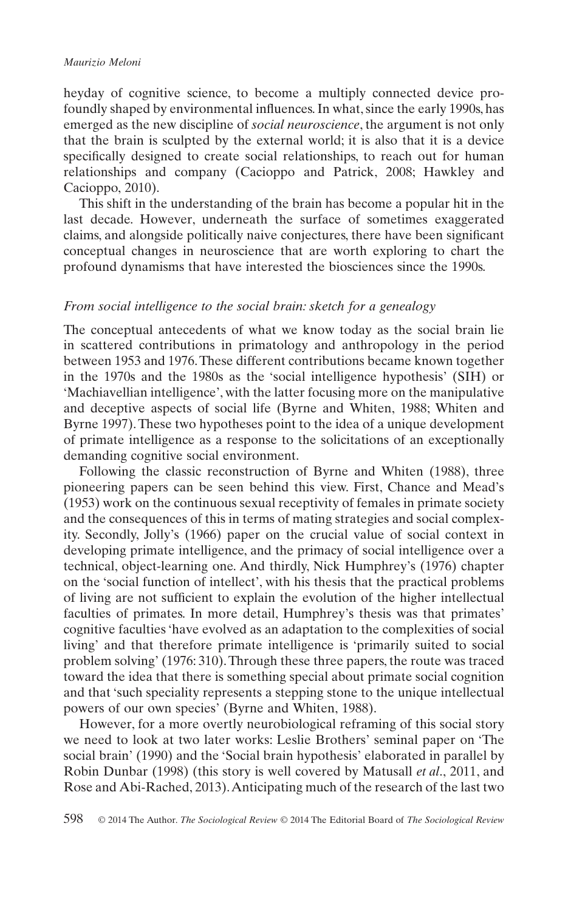#### *Maurizio Meloni*

heyday of cognitive science, to become a multiply connected device profoundly shaped by environmental influences. In what, since the early 1990s, has emerged as the new discipline of *social neuroscience*, the argument is not only that the brain is sculpted by the external world; it is also that it is a device specifically designed to create social relationships, to reach out for human relationships and company (Cacioppo and Patrick, 2008; Hawkley and Cacioppo, 2010).

This shift in the understanding of the brain has become a popular hit in the last decade. However, underneath the surface of sometimes exaggerated claims, and alongside politically naive conjectures, there have been significant conceptual changes in neuroscience that are worth exploring to chart the profound dynamisms that have interested the biosciences since the 1990s.

## *From social intelligence to the social brain: sketch for a genealogy*

The conceptual antecedents of what we know today as the social brain lie in scattered contributions in primatology and anthropology in the period between 1953 and 1976.These different contributions became known together in the 1970s and the 1980s as the 'social intelligence hypothesis' (SIH) or 'Machiavellian intelligence', with the latter focusing more on the manipulative and deceptive aspects of social life (Byrne and Whiten, 1988; Whiten and Byrne 1997).These two hypotheses point to the idea of a unique development of primate intelligence as a response to the solicitations of an exceptionally demanding cognitive social environment.

Following the classic reconstruction of Byrne and Whiten (1988), three pioneering papers can be seen behind this view. First, Chance and Mead's (1953) work on the continuous sexual receptivity of females in primate society and the consequences of this in terms of mating strategies and social complexity. Secondly, Jolly's (1966) paper on the crucial value of social context in developing primate intelligence, and the primacy of social intelligence over a technical, object-learning one. And thirdly, Nick Humphrey's (1976) chapter on the 'social function of intellect', with his thesis that the practical problems of living are not sufficient to explain the evolution of the higher intellectual faculties of primates. In more detail, Humphrey's thesis was that primates' cognitive faculties 'have evolved as an adaptation to the complexities of social living' and that therefore primate intelligence is 'primarily suited to social problem solving' (1976: 310). Through these three papers, the route was traced toward the idea that there is something special about primate social cognition and that 'such speciality represents a stepping stone to the unique intellectual powers of our own species' (Byrne and Whiten, 1988).

However, for a more overtly neurobiological reframing of this social story we need to look at two later works: Leslie Brothers' seminal paper on 'The social brain' (1990) and the 'Social brain hypothesis' elaborated in parallel by Robin Dunbar (1998) (this story is well covered by Matusall *et al*., 2011, and Rose and Abi-Rached, 2013).Anticipating much of the research of the last two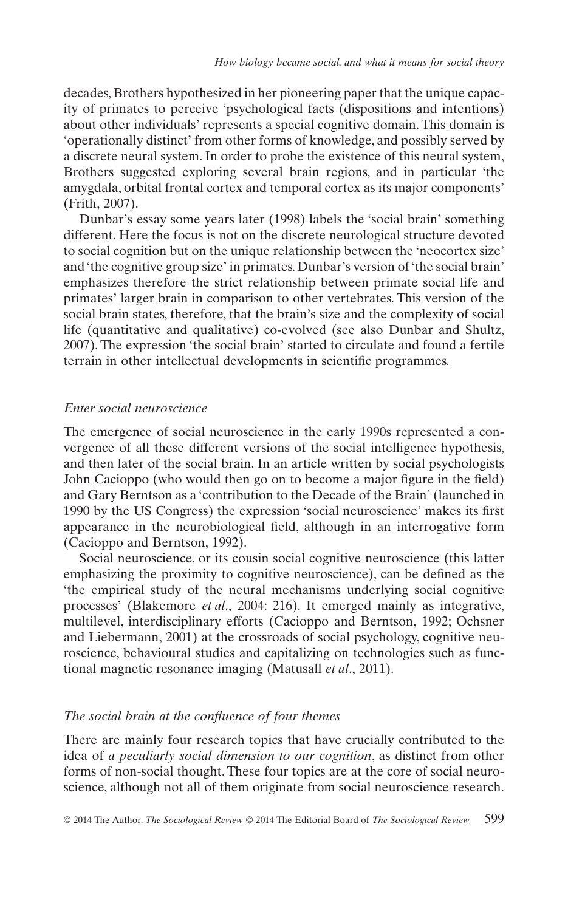decades, Brothers hypothesized in her pioneering paper that the unique capacity of primates to perceive 'psychological facts (dispositions and intentions) about other individuals' represents a special cognitive domain. This domain is 'operationally distinct' from other forms of knowledge, and possibly served by a discrete neural system. In order to probe the existence of this neural system, Brothers suggested exploring several brain regions, and in particular 'the amygdala, orbital frontal cortex and temporal cortex as its major components' (Frith, 2007).

Dunbar's essay some years later (1998) labels the 'social brain' something different. Here the focus is not on the discrete neurological structure devoted to social cognition but on the unique relationship between the 'neocortex size' and 'the cognitive group size' in primates. Dunbar's version of 'the social brain' emphasizes therefore the strict relationship between primate social life and primates' larger brain in comparison to other vertebrates. This version of the social brain states, therefore, that the brain's size and the complexity of social life (quantitative and qualitative) co-evolved (see also Dunbar and Shultz, 2007). The expression 'the social brain' started to circulate and found a fertile terrain in other intellectual developments in scientific programmes.

#### *Enter social neuroscience*

The emergence of social neuroscience in the early 1990s represented a convergence of all these different versions of the social intelligence hypothesis, and then later of the social brain. In an article written by social psychologists John Cacioppo (who would then go on to become a major figure in the field) and Gary Berntson as a 'contribution to the Decade of the Brain' (launched in 1990 by the US Congress) the expression 'social neuroscience' makes its first appearance in the neurobiological field, although in an interrogative form (Cacioppo and Berntson, 1992).

Social neuroscience, or its cousin social cognitive neuroscience (this latter emphasizing the proximity to cognitive neuroscience), can be defined as the 'the empirical study of the neural mechanisms underlying social cognitive processes' (Blakemore *et al*., 2004: 216). It emerged mainly as integrative, multilevel, interdisciplinary efforts (Cacioppo and Berntson, 1992; Ochsner and Liebermann, 2001) at the crossroads of social psychology, cognitive neuroscience, behavioural studies and capitalizing on technologies such as functional magnetic resonance imaging (Matusall *et al*., 2011).

## *The social brain at the confluence of four themes*

There are mainly four research topics that have crucially contributed to the idea of *a peculiarly social dimension to our cognition*, as distinct from other forms of non-social thought. These four topics are at the core of social neuroscience, although not all of them originate from social neuroscience research.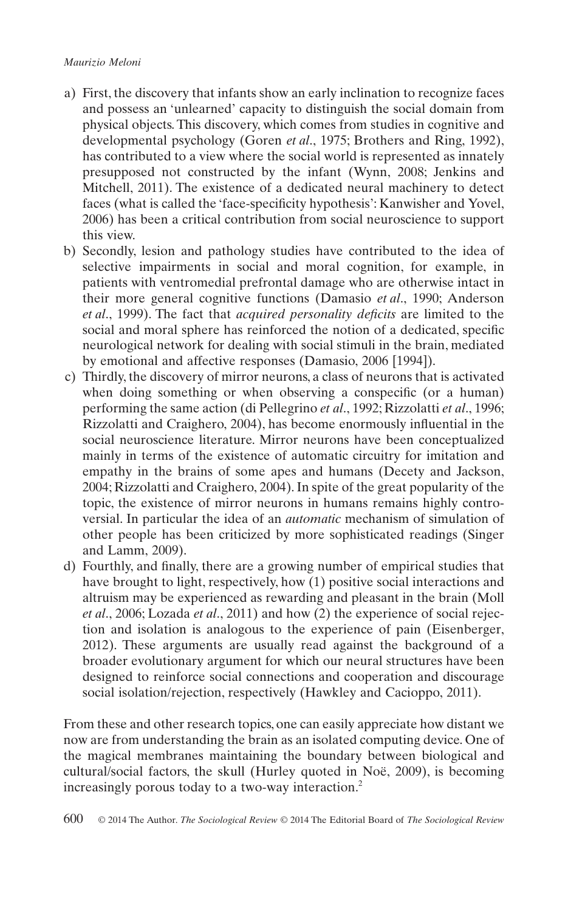- a) First, the discovery that infants show an early inclination to recognize faces and possess an 'unlearned' capacity to distinguish the social domain from physical objects. This discovery, which comes from studies in cognitive and developmental psychology (Goren *et al*., 1975; Brothers and Ring, 1992), has contributed to a view where the social world is represented as innately presupposed not constructed by the infant (Wynn, 2008; Jenkins and Mitchell, 2011). The existence of a dedicated neural machinery to detect faces (what is called the 'face-specificity hypothesis': Kanwisher and Yovel, 2006) has been a critical contribution from social neuroscience to support this view.
- b) Secondly, lesion and pathology studies have contributed to the idea of selective impairments in social and moral cognition, for example, in patients with ventromedial prefrontal damage who are otherwise intact in their more general cognitive functions (Damasio *et al*., 1990; Anderson *et al*., 1999). The fact that *acquired personality deficits* are limited to the social and moral sphere has reinforced the notion of a dedicated, specific neurological network for dealing with social stimuli in the brain, mediated by emotional and affective responses (Damasio, 2006 [1994]).
- c) Thirdly, the discovery of mirror neurons, a class of neurons that is activated when doing something or when observing a conspecific (or a human) performing the same action (di Pellegrino *et al*., 1992; Rizzolatti *et al*., 1996; Rizzolatti and Craighero, 2004), has become enormously influential in the social neuroscience literature. Mirror neurons have been conceptualized mainly in terms of the existence of automatic circuitry for imitation and empathy in the brains of some apes and humans (Decety and Jackson, 2004; Rizzolatti and Craighero, 2004). In spite of the great popularity of the topic, the existence of mirror neurons in humans remains highly controversial. In particular the idea of an *automatic* mechanism of simulation of other people has been criticized by more sophisticated readings (Singer and Lamm, 2009).
- d) Fourthly, and finally, there are a growing number of empirical studies that have brought to light, respectively, how (1) positive social interactions and altruism may be experienced as rewarding and pleasant in the brain (Moll *et al*., 2006; Lozada *et al*., 2011) and how (2) the experience of social rejection and isolation is analogous to the experience of pain (Eisenberger, 2012). These arguments are usually read against the background of a broader evolutionary argument for which our neural structures have been designed to reinforce social connections and cooperation and discourage social isolation/rejection, respectively (Hawkley and Cacioppo, 2011).

From these and other research topics, one can easily appreciate how distant we now are from understanding the brain as an isolated computing device. One of the magical membranes maintaining the boundary between biological and cultural/social factors, the skull (Hurley quoted in Noë, 2009), is becoming increasingly porous today to a two-way interaction.2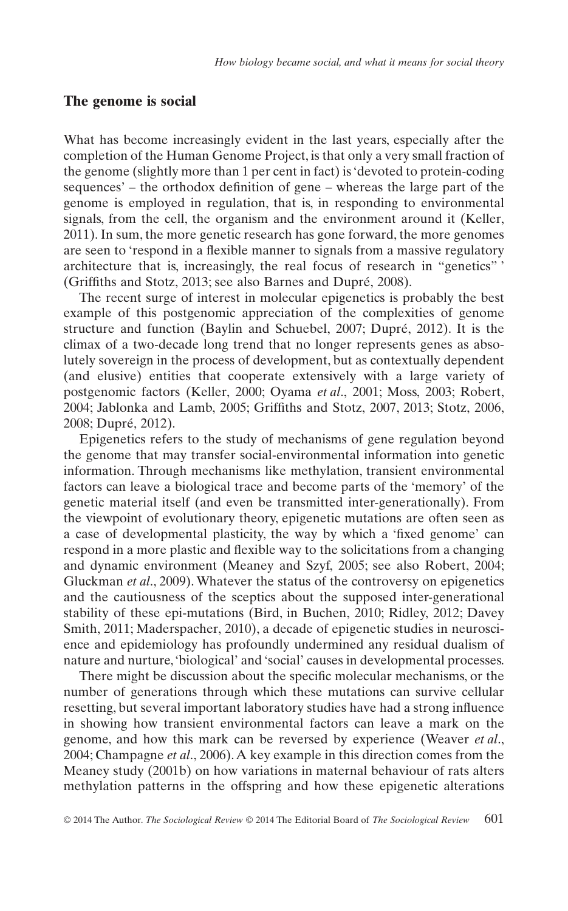## **The genome is social**

What has become increasingly evident in the last years, especially after the completion of the Human Genome Project, is that only a very small fraction of the genome (slightly more than 1 per cent in fact) is 'devoted to protein-coding sequences' – the orthodox definition of gene – whereas the large part of the genome is employed in regulation, that is, in responding to environmental signals, from the cell, the organism and the environment around it (Keller, 2011). In sum, the more genetic research has gone forward, the more genomes are seen to 'respond in a flexible manner to signals from a massive regulatory architecture that is, increasingly, the real focus of research in "genetics" ' (Griffiths and Stotz, 2013; see also Barnes and Dupré, 2008).

The recent surge of interest in molecular epigenetics is probably the best example of this postgenomic appreciation of the complexities of genome structure and function (Baylin and Schuebel, 2007; Dupré, 2012). It is the climax of a two-decade long trend that no longer represents genes as absolutely sovereign in the process of development, but as contextually dependent (and elusive) entities that cooperate extensively with a large variety of postgenomic factors (Keller, 2000; Oyama *et al*., 2001; Moss, 2003; Robert, 2004; Jablonka and Lamb, 2005; Griffiths and Stotz, 2007, 2013; Stotz, 2006, 2008; Dupré, 2012).

Epigenetics refers to the study of mechanisms of gene regulation beyond the genome that may transfer social-environmental information into genetic information. Through mechanisms like methylation, transient environmental factors can leave a biological trace and become parts of the 'memory' of the genetic material itself (and even be transmitted inter-generationally). From the viewpoint of evolutionary theory, epigenetic mutations are often seen as a case of developmental plasticity, the way by which a 'fixed genome' can respond in a more plastic and flexible way to the solicitations from a changing and dynamic environment (Meaney and Szyf, 2005; see also Robert, 2004; Gluckman *et al*., 2009). Whatever the status of the controversy on epigenetics and the cautiousness of the sceptics about the supposed inter-generational stability of these epi-mutations (Bird, in Buchen, 2010; Ridley, 2012; Davey Smith, 2011; Maderspacher, 2010), a decade of epigenetic studies in neuroscience and epidemiology has profoundly undermined any residual dualism of nature and nurture,'biological' and 'social' causes in developmental processes.

There might be discussion about the specific molecular mechanisms, or the number of generations through which these mutations can survive cellular resetting, but several important laboratory studies have had a strong influence in showing how transient environmental factors can leave a mark on the genome, and how this mark can be reversed by experience (Weaver *et al*., 2004; Champagne *et al*., 2006).A key example in this direction comes from the Meaney study (2001b) on how variations in maternal behaviour of rats alters methylation patterns in the offspring and how these epigenetic alterations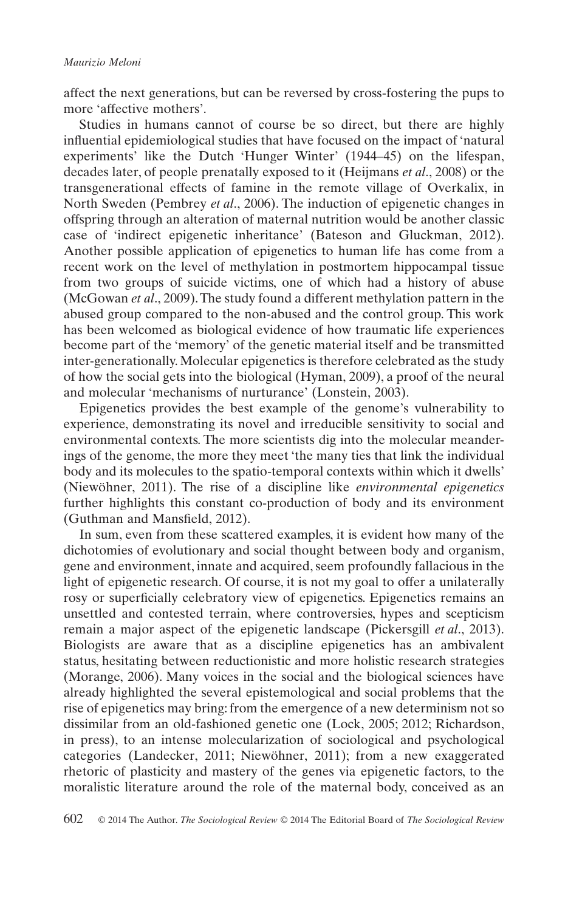affect the next generations, but can be reversed by cross-fostering the pups to more 'affective mothers'.

Studies in humans cannot of course be so direct, but there are highly influential epidemiological studies that have focused on the impact of 'natural experiments' like the Dutch 'Hunger Winter' (1944–45) on the lifespan, decades later, of people prenatally exposed to it (Heijmans *et al*., 2008) or the transgenerational effects of famine in the remote village of Overkalix, in North Sweden (Pembrey *et al*., 2006). The induction of epigenetic changes in offspring through an alteration of maternal nutrition would be another classic case of 'indirect epigenetic inheritance' (Bateson and Gluckman, 2012). Another possible application of epigenetics to human life has come from a recent work on the level of methylation in postmortem hippocampal tissue from two groups of suicide victims, one of which had a history of abuse (McGowan *et al*., 2009).The study found a different methylation pattern in the abused group compared to the non-abused and the control group. This work has been welcomed as biological evidence of how traumatic life experiences become part of the 'memory' of the genetic material itself and be transmitted inter-generationally. Molecular epigenetics is therefore celebrated as the study of how the social gets into the biological (Hyman, 2009), a proof of the neural and molecular 'mechanisms of nurturance' (Lonstein, 2003).

Epigenetics provides the best example of the genome's vulnerability to experience, demonstrating its novel and irreducible sensitivity to social and environmental contexts. The more scientists dig into the molecular meanderings of the genome, the more they meet 'the many ties that link the individual body and its molecules to the spatio-temporal contexts within which it dwells' (Niewöhner, 2011). The rise of a discipline like *environmental epigenetics* further highlights this constant co-production of body and its environment (Guthman and Mansfield, 2012).

In sum, even from these scattered examples, it is evident how many of the dichotomies of evolutionary and social thought between body and organism, gene and environment, innate and acquired, seem profoundly fallacious in the light of epigenetic research. Of course, it is not my goal to offer a unilaterally rosy or superficially celebratory view of epigenetics. Epigenetics remains an unsettled and contested terrain, where controversies, hypes and scepticism remain a major aspect of the epigenetic landscape (Pickersgill *et al*., 2013). Biologists are aware that as a discipline epigenetics has an ambivalent status, hesitating between reductionistic and more holistic research strategies (Morange, 2006). Many voices in the social and the biological sciences have already highlighted the several epistemological and social problems that the rise of epigenetics may bring: from the emergence of a new determinism not so dissimilar from an old-fashioned genetic one (Lock, 2005; 2012; Richardson, in press), to an intense molecularization of sociological and psychological categories (Landecker, 2011; Niewöhner, 2011); from a new exaggerated rhetoric of plasticity and mastery of the genes via epigenetic factors, to the moralistic literature around the role of the maternal body, conceived as an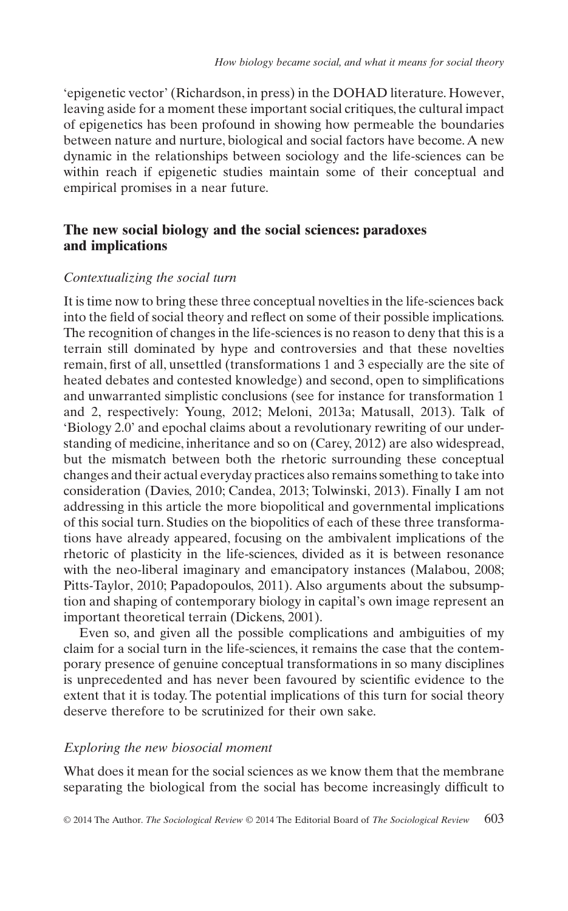'epigenetic vector' (Richardson, in press) in the DOHAD literature. However, leaving aside for a moment these important social critiques, the cultural impact of epigenetics has been profound in showing how permeable the boundaries between nature and nurture, biological and social factors have become.A new dynamic in the relationships between sociology and the life-sciences can be within reach if epigenetic studies maintain some of their conceptual and empirical promises in a near future.

# **The new social biology and the social sciences: paradoxes and implications**

#### *Contextualizing the social turn*

It is time now to bring these three conceptual novelties in the life-sciences back into the field of social theory and reflect on some of their possible implications. The recognition of changes in the life-sciences is no reason to deny that this is a terrain still dominated by hype and controversies and that these novelties remain, first of all, unsettled (transformations 1 and 3 especially are the site of heated debates and contested knowledge) and second, open to simplifications and unwarranted simplistic conclusions (see for instance for transformation 1 and 2, respectively: Young, 2012; Meloni, 2013a; Matusall, 2013). Talk of 'Biology 2.0' and epochal claims about a revolutionary rewriting of our understanding of medicine, inheritance and so on (Carey, 2012) are also widespread, but the mismatch between both the rhetoric surrounding these conceptual changes and their actual everyday practices also remains something to take into consideration (Davies, 2010; Candea, 2013; Tolwinski, 2013). Finally I am not addressing in this article the more biopolitical and governmental implications of this social turn. Studies on the biopolitics of each of these three transformations have already appeared, focusing on the ambivalent implications of the rhetoric of plasticity in the life-sciences, divided as it is between resonance with the neo-liberal imaginary and emancipatory instances (Malabou, 2008; Pitts-Taylor, 2010; Papadopoulos, 2011). Also arguments about the subsumption and shaping of contemporary biology in capital's own image represent an important theoretical terrain (Dickens, 2001).

Even so, and given all the possible complications and ambiguities of my claim for a social turn in the life-sciences, it remains the case that the contemporary presence of genuine conceptual transformations in so many disciplines is unprecedented and has never been favoured by scientific evidence to the extent that it is today. The potential implications of this turn for social theory deserve therefore to be scrutinized for their own sake.

#### *Exploring the new biosocial moment*

What does it mean for the social sciences as we know them that the membrane separating the biological from the social has become increasingly difficult to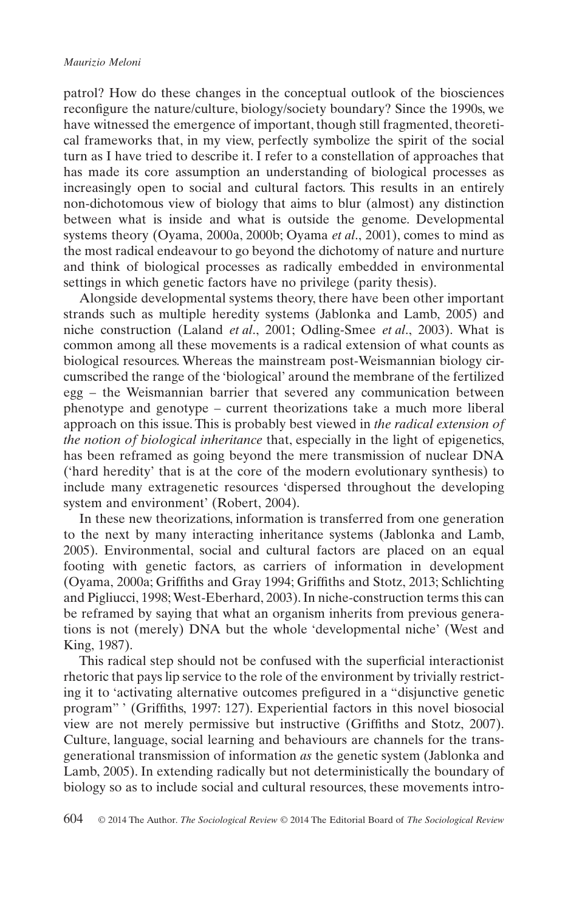patrol? How do these changes in the conceptual outlook of the biosciences reconfigure the nature/culture, biology/society boundary? Since the 1990s, we have witnessed the emergence of important, though still fragmented, theoretical frameworks that, in my view, perfectly symbolize the spirit of the social turn as I have tried to describe it. I refer to a constellation of approaches that has made its core assumption an understanding of biological processes as increasingly open to social and cultural factors. This results in an entirely non-dichotomous view of biology that aims to blur (almost) any distinction between what is inside and what is outside the genome. Developmental systems theory (Oyama, 2000a, 2000b; Oyama *et al*., 2001), comes to mind as the most radical endeavour to go beyond the dichotomy of nature and nurture and think of biological processes as radically embedded in environmental settings in which genetic factors have no privilege (parity thesis).

Alongside developmental systems theory, there have been other important strands such as multiple heredity systems (Jablonka and Lamb, 2005) and niche construction (Laland *et al*., 2001; Odling-Smee *et al*., 2003). What is common among all these movements is a radical extension of what counts as biological resources. Whereas the mainstream post-Weismannian biology circumscribed the range of the 'biological' around the membrane of the fertilized egg – the Weismannian barrier that severed any communication between phenotype and genotype – current theorizations take a much more liberal approach on this issue. This is probably best viewed in *the radical extension of the notion of biological inheritance* that, especially in the light of epigenetics, has been reframed as going beyond the mere transmission of nuclear DNA ('hard heredity' that is at the core of the modern evolutionary synthesis) to include many extragenetic resources 'dispersed throughout the developing system and environment' (Robert, 2004).

In these new theorizations, information is transferred from one generation to the next by many interacting inheritance systems (Jablonka and Lamb, 2005). Environmental, social and cultural factors are placed on an equal footing with genetic factors, as carriers of information in development (Oyama, 2000a; Griffiths and Gray 1994; Griffiths and Stotz, 2013; Schlichting and Pigliucci, 1998; West-Eberhard, 2003). In niche-construction terms this can be reframed by saying that what an organism inherits from previous generations is not (merely) DNA but the whole 'developmental niche' (West and King, 1987).

This radical step should not be confused with the superficial interactionist rhetoric that pays lip service to the role of the environment by trivially restricting it to 'activating alternative outcomes prefigured in a "disjunctive genetic program" ' (Griffiths, 1997: 127). Experiential factors in this novel biosocial view are not merely permissive but instructive (Griffiths and Stotz, 2007). Culture, language, social learning and behaviours are channels for the transgenerational transmission of information *as* the genetic system (Jablonka and Lamb, 2005). In extending radically but not deterministically the boundary of biology so as to include social and cultural resources, these movements intro-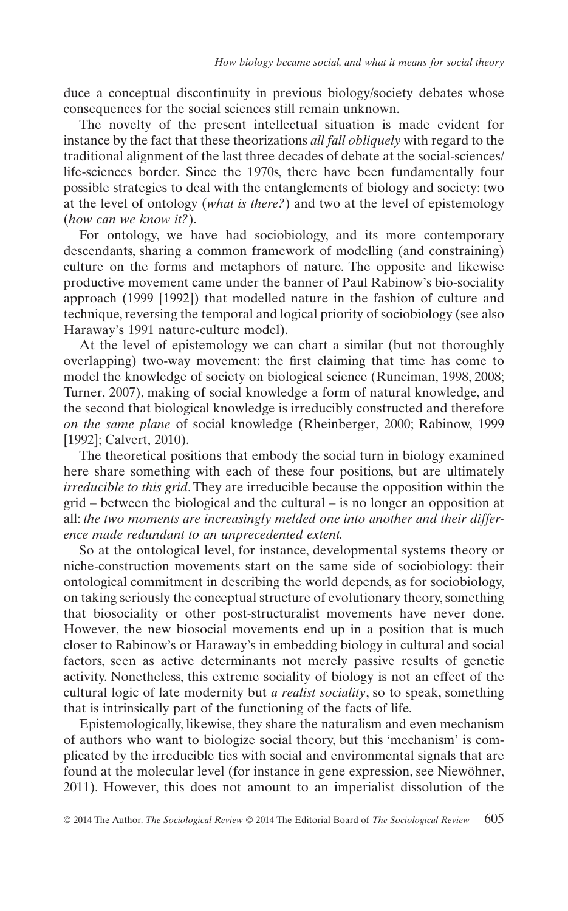duce a conceptual discontinuity in previous biology/society debates whose consequences for the social sciences still remain unknown.

The novelty of the present intellectual situation is made evident for instance by the fact that these theorizations *all fall obliquely* with regard to the traditional alignment of the last three decades of debate at the social-sciences/ life-sciences border. Since the 1970s, there have been fundamentally four possible strategies to deal with the entanglements of biology and society: two at the level of ontology (*what is there?*) and two at the level of epistemology (*how can we know it?*).

For ontology, we have had sociobiology, and its more contemporary descendants, sharing a common framework of modelling (and constraining) culture on the forms and metaphors of nature. The opposite and likewise productive movement came under the banner of Paul Rabinow's bio-sociality approach (1999 [1992]) that modelled nature in the fashion of culture and technique, reversing the temporal and logical priority of sociobiology (see also Haraway's 1991 nature-culture model).

At the level of epistemology we can chart a similar (but not thoroughly overlapping) two-way movement: the first claiming that time has come to model the knowledge of society on biological science (Runciman, 1998, 2008; Turner, 2007), making of social knowledge a form of natural knowledge, and the second that biological knowledge is irreducibly constructed and therefore *on the same plane* of social knowledge (Rheinberger, 2000; Rabinow, 1999 [1992]; Calvert, 2010).

The theoretical positions that embody the social turn in biology examined here share something with each of these four positions, but are ultimately *irreducible to this grid*. They are irreducible because the opposition within the grid – between the biological and the cultural – is no longer an opposition at all: *the two moments are increasingly melded one into another and their difference made redundant to an unprecedented extent.*

So at the ontological level, for instance, developmental systems theory or niche-construction movements start on the same side of sociobiology: their ontological commitment in describing the world depends, as for sociobiology, on taking seriously the conceptual structure of evolutionary theory, something that biosociality or other post-structuralist movements have never done. However, the new biosocial movements end up in a position that is much closer to Rabinow's or Haraway's in embedding biology in cultural and social factors, seen as active determinants not merely passive results of genetic activity. Nonetheless, this extreme sociality of biology is not an effect of the cultural logic of late modernity but *a realist sociality*, so to speak, something that is intrinsically part of the functioning of the facts of life.

Epistemologically, likewise, they share the naturalism and even mechanism of authors who want to biologize social theory, but this 'mechanism' is complicated by the irreducible ties with social and environmental signals that are found at the molecular level (for instance in gene expression, see Niewöhner, 2011). However, this does not amount to an imperialist dissolution of the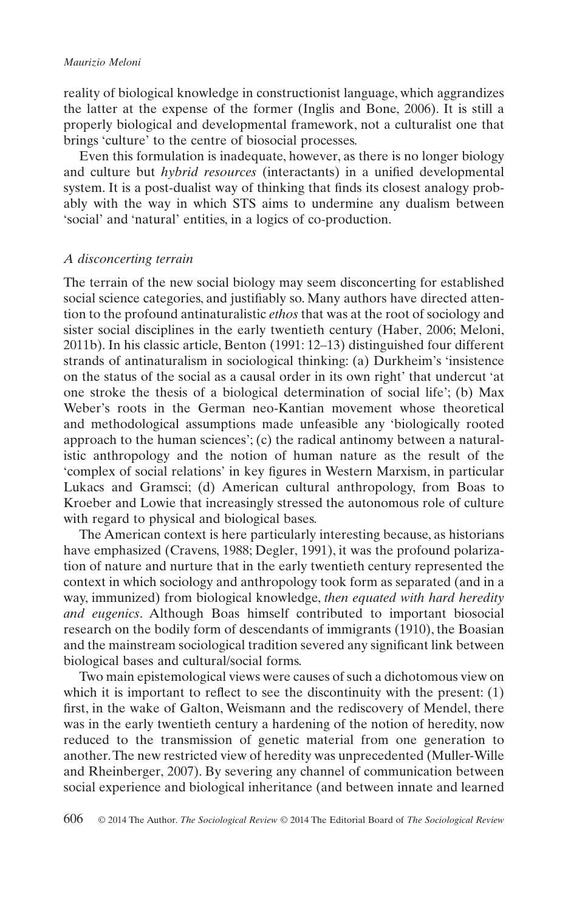reality of biological knowledge in constructionist language, which aggrandizes the latter at the expense of the former (Inglis and Bone, 2006). It is still a properly biological and developmental framework, not a culturalist one that brings 'culture' to the centre of biosocial processes.

Even this formulation is inadequate, however, as there is no longer biology and culture but *hybrid resources* (interactants) in a unified developmental system. It is a post-dualist way of thinking that finds its closest analogy probably with the way in which STS aims to undermine any dualism between 'social' and 'natural' entities, in a logics of co-production.

#### *A disconcerting terrain*

The terrain of the new social biology may seem disconcerting for established social science categories, and justifiably so. Many authors have directed attention to the profound antinaturalistic *ethos* that was at the root of sociology and sister social disciplines in the early twentieth century (Haber, 2006; Meloni, 2011b). In his classic article, Benton (1991: 12–13) distinguished four different strands of antinaturalism in sociological thinking: (a) Durkheim's 'insistence on the status of the social as a causal order in its own right' that undercut 'at one stroke the thesis of a biological determination of social life'; (b) Max Weber's roots in the German neo-Kantian movement whose theoretical and methodological assumptions made unfeasible any 'biologically rooted approach to the human sciences'; (c) the radical antinomy between a naturalistic anthropology and the notion of human nature as the result of the 'complex of social relations' in key figures in Western Marxism, in particular Lukacs and Gramsci; (d) American cultural anthropology, from Boas to Kroeber and Lowie that increasingly stressed the autonomous role of culture with regard to physical and biological bases.

The American context is here particularly interesting because, as historians have emphasized (Cravens, 1988; Degler, 1991), it was the profound polarization of nature and nurture that in the early twentieth century represented the context in which sociology and anthropology took form as separated (and in a way, immunized) from biological knowledge, *then equated with hard heredity and eugenics*. Although Boas himself contributed to important biosocial research on the bodily form of descendants of immigrants (1910), the Boasian and the mainstream sociological tradition severed any significant link between biological bases and cultural/social forms.

Two main epistemological views were causes of such a dichotomous view on which it is important to reflect to see the discontinuity with the present: (1) first, in the wake of Galton, Weismann and the rediscovery of Mendel, there was in the early twentieth century a hardening of the notion of heredity, now reduced to the transmission of genetic material from one generation to another.The new restricted view of heredity was unprecedented (Muller-Wille and Rheinberger, 2007). By severing any channel of communication between social experience and biological inheritance (and between innate and learned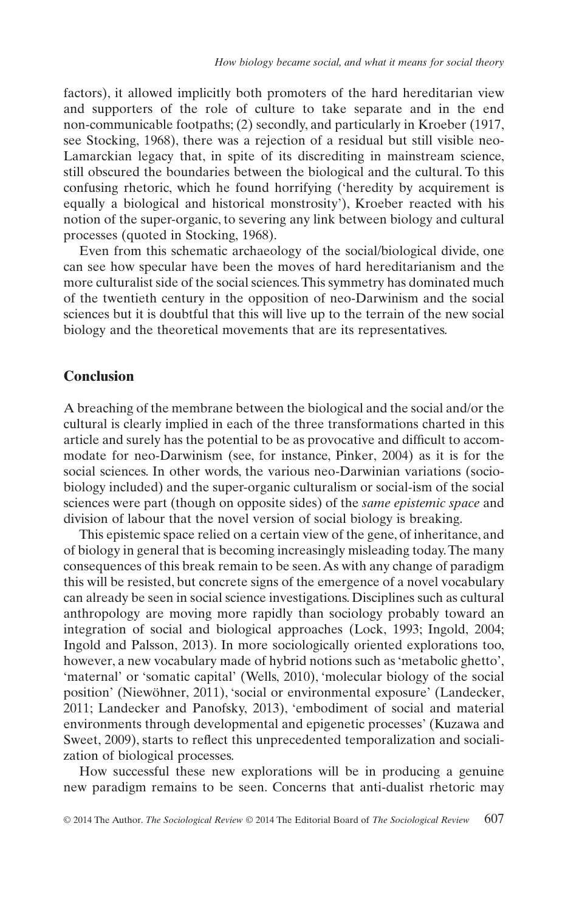factors), it allowed implicitly both promoters of the hard hereditarian view and supporters of the role of culture to take separate and in the end non-communicable footpaths; (2) secondly, and particularly in Kroeber (1917, see Stocking, 1968), there was a rejection of a residual but still visible neo-Lamarckian legacy that, in spite of its discrediting in mainstream science, still obscured the boundaries between the biological and the cultural. To this confusing rhetoric, which he found horrifying ('heredity by acquirement is equally a biological and historical monstrosity'), Kroeber reacted with his notion of the super-organic, to severing any link between biology and cultural processes (quoted in Stocking, 1968).

Even from this schematic archaeology of the social/biological divide, one can see how specular have been the moves of hard hereditarianism and the more culturalist side of the social sciences.This symmetry has dominated much of the twentieth century in the opposition of neo-Darwinism and the social sciences but it is doubtful that this will live up to the terrain of the new social biology and the theoretical movements that are its representatives.

#### **Conclusion**

A breaching of the membrane between the biological and the social and/or the cultural is clearly implied in each of the three transformations charted in this article and surely has the potential to be as provocative and difficult to accommodate for neo-Darwinism (see, for instance, Pinker, 2004) as it is for the social sciences. In other words, the various neo-Darwinian variations (sociobiology included) and the super-organic culturalism or social-ism of the social sciences were part (though on opposite sides) of the *same epistemic space* and division of labour that the novel version of social biology is breaking.

This epistemic space relied on a certain view of the gene, of inheritance, and of biology in general that is becoming increasingly misleading today.The many consequences of this break remain to be seen.As with any change of paradigm this will be resisted, but concrete signs of the emergence of a novel vocabulary can already be seen in social science investigations. Disciplines such as cultural anthropology are moving more rapidly than sociology probably toward an integration of social and biological approaches (Lock, 1993; Ingold, 2004; Ingold and Palsson, 2013). In more sociologically oriented explorations too, however, a new vocabulary made of hybrid notions such as 'metabolic ghetto', 'maternal' or 'somatic capital' (Wells, 2010), 'molecular biology of the social position' (Niewöhner, 2011), 'social or environmental exposure' (Landecker, 2011; Landecker and Panofsky, 2013), 'embodiment of social and material environments through developmental and epigenetic processes' (Kuzawa and Sweet, 2009), starts to reflect this unprecedented temporalization and socialization of biological processes.

How successful these new explorations will be in producing a genuine new paradigm remains to be seen. Concerns that anti-dualist rhetoric may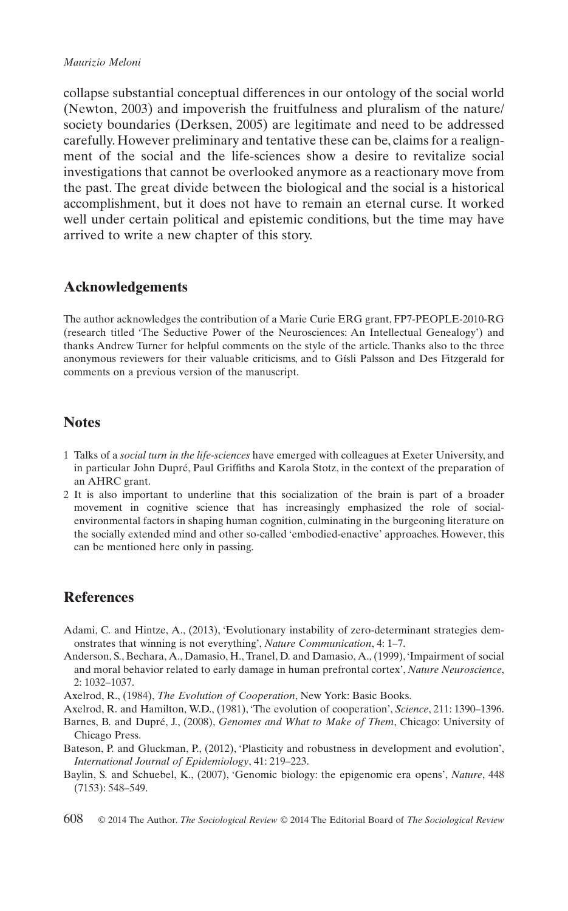collapse substantial conceptual differences in our ontology of the social world (Newton, 2003) and impoverish the fruitfulness and pluralism of the nature/ society boundaries (Derksen, 2005) are legitimate and need to be addressed carefully. However preliminary and tentative these can be, claims for a realignment of the social and the life-sciences show a desire to revitalize social investigations that cannot be overlooked anymore as a reactionary move from the past. The great divide between the biological and the social is a historical accomplishment, but it does not have to remain an eternal curse. It worked well under certain political and epistemic conditions, but the time may have arrived to write a new chapter of this story.

## **Acknowledgements**

The author acknowledges the contribution of a Marie Curie ERG grant, FP7-PEOPLE-2010-RG (research titled 'The Seductive Power of the Neurosciences: An Intellectual Genealogy') and thanks Andrew Turner for helpful comments on the style of the article. Thanks also to the three anonymous reviewers for their valuable criticisms, and to Gísli Palsson and Des Fitzgerald for comments on a previous version of the manuscript.

## **Notes**

- 1 Talks of a *social turn in the life-sciences* have emerged with colleagues at Exeter University, and in particular John Dupré, Paul Griffiths and Karola Stotz, in the context of the preparation of an AHRC grant.
- 2 It is also important to underline that this socialization of the brain is part of a broader movement in cognitive science that has increasingly emphasized the role of socialenvironmental factors in shaping human cognition, culminating in the burgeoning literature on the socially extended mind and other so-called 'embodied-enactive' approaches. However, this can be mentioned here only in passing.

# **References**

- Adami, C. and Hintze, A., (2013), 'Evolutionary instability of zero-determinant strategies demonstrates that winning is not everything', *Nature Communication*, 4: 1–7.
- Anderson, S., Bechara, A., Damasio, H., Tranel, D. and Damasio, A., (1999),'Impairment of social and moral behavior related to early damage in human prefrontal cortex', *Nature Neuroscience*, 2: 1032–1037.
- Axelrod, R., (1984), *The Evolution of Cooperation*, New York: Basic Books.
- Axelrod, R. and Hamilton, W.D., (1981), 'The evolution of cooperation', *Science*, 211: 1390–1396.
- Barnes, B. and Dupré, J., (2008), *Genomes and What to Make of Them*, Chicago: University of Chicago Press.
- Bateson, P. and Gluckman, P., (2012), 'Plasticity and robustness in development and evolution', *International Journal of Epidemiology*, 41: 219–223.
- Baylin, S. and Schuebel, K., (2007), 'Genomic biology: the epigenomic era opens', *Nature*, 448 (7153): 548–549.
- 608 © 2014 The Author. *The Sociological Review* © 2014 The Editorial Board of *The Sociological Review*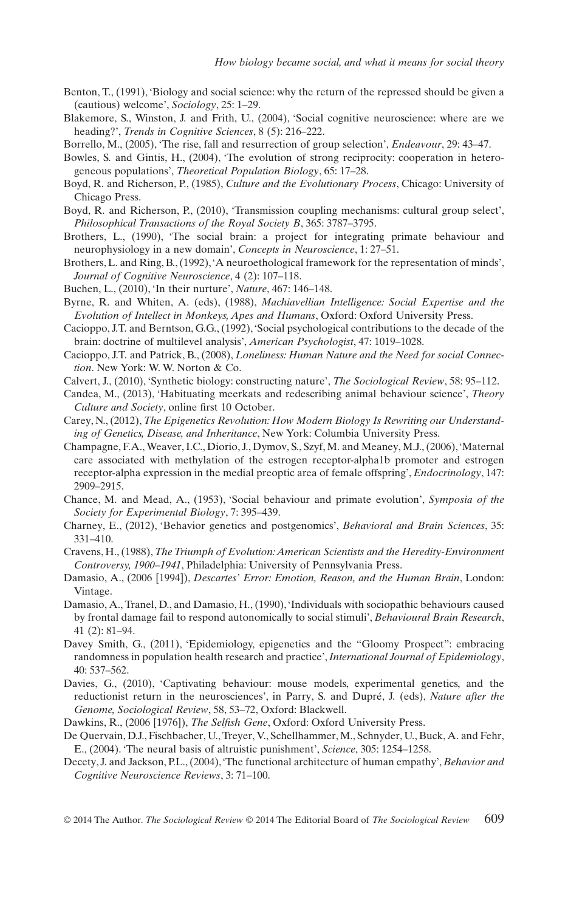- Benton, T., (1991), 'Biology and social science: why the return of the repressed should be given a (cautious) welcome', *Sociology*, 25: 1–29.
- Blakemore, S., Winston, J. and Frith, U., (2004), 'Social cognitive neuroscience: where are we heading?', *Trends in Cognitive Sciences*, 8 (5): 216–222.
- Borrello, M., (2005), 'The rise, fall and resurrection of group selection', *Endeavour*, 29: 43–47.
- Bowles, S. and Gintis, H., (2004), 'The evolution of strong reciprocity: cooperation in heterogeneous populations', *Theoretical Population Biology*, 65: 17–28.
- Boyd, R. and Richerson, P., (1985), *Culture and the Evolutionary Process*, Chicago: University of Chicago Press.
- Boyd, R. and Richerson, P., (2010), 'Transmission coupling mechanisms: cultural group select', *Philosophical Transactions of the Royal Society B*, 365: 3787–3795.
- Brothers, L., (1990), 'The social brain: a project for integrating primate behaviour and neurophysiology in a new domain', *Concepts in Neuroscience*, 1: 27–51.
- Brothers, L. and Ring, B., (1992),'A neuroethological framework for the representation of minds', *Journal of Cognitive Neuroscience*, 4 (2): 107–118.
- Buchen, L., (2010), 'In their nurture', *Nature*, 467: 146–148.
- Byrne, R. and Whiten, A. (eds), (1988), *Machiavellian Intelligence: Social Expertise and the Evolution of Intellect in Monkeys, Apes and Humans*, Oxford: Oxford University Press.
- Cacioppo, J.T. and Berntson, G.G., (1992),'Social psychological contributions to the decade of the brain: doctrine of multilevel analysis', *American Psychologist*, 47: 1019–1028.
- Cacioppo, J.T. and Patrick, B., (2008), *Loneliness: Human Nature and the Need for social Connection*. New York: W. W. Norton & Co.
- Calvert, J., (2010), 'Synthetic biology: constructing nature', *The Sociological Review*, 58: 95–112.
- Candea, M., (2013), 'Habituating meerkats and redescribing animal behaviour science', *Theory Culture and Society*, online first 10 October.
- Carey, N., (2012), *The Epigenetics Revolution: How Modern Biology Is Rewriting our Understanding of Genetics, Disease, and Inheritance*, New York: Columbia University Press.
- Champagne, F.A., Weaver, I.C., Diorio, J., Dymov, S., Szyf, M. and Meaney, M.J., (2006),'Maternal care associated with methylation of the estrogen receptor-alpha1b promoter and estrogen receptor-alpha expression in the medial preoptic area of female offspring', *Endocrinology*, 147: 2909–2915.
- Chance, M. and Mead, A., (1953), 'Social behaviour and primate evolution', *Symposia of the Society for Experimental Biology*, 7: 395–439.
- Charney, E., (2012), 'Behavior genetics and postgenomics', *Behavioral and Brain Sciences*, 35: 331–410.
- Cravens, H., (1988), *The Triumph of Evolution:American Scientists and the Heredity-Environment Controversy, 1900–1941*, Philadelphia: University of Pennsylvania Press.
- Damasio, A., (2006 [1994]), *Descartes' Error: Emotion, Reason, and the Human Brain*, London: Vintage.
- Damasio, A., Tranel, D., and Damasio, H., (1990),'Individuals with sociopathic behaviours caused by frontal damage fail to respond autonomically to social stimuli', *Behavioural Brain Research*, 41 (2): 81–94.
- Davey Smith, G., (2011), 'Epidemiology, epigenetics and the "Gloomy Prospect": embracing randomness in population health research and practice',*International Journal of Epidemiology*, 40: 537–562.
- Davies, G., (2010), 'Captivating behaviour: mouse models, experimental genetics, and the reductionist return in the neurosciences', in Parry, S. and Dupré, J. (eds), *Nature after the Genome, Sociological Review*, 58, 53–72, Oxford: Blackwell.
- Dawkins, R., (2006 [1976]), *The Selfish Gene*, Oxford: Oxford University Press.
- De Quervain, D.J., Fischbacher, U., Treyer, V., Schellhammer, M., Schnyder, U., Buck, A. and Fehr, E., (2004). 'The neural basis of altruistic punishment', *Science*, 305: 1254–1258.
- Decety, J. and Jackson, P.L., (2004),'The functional architecture of human empathy', *Behavior and Cognitive Neuroscience Reviews*, 3: 71–100.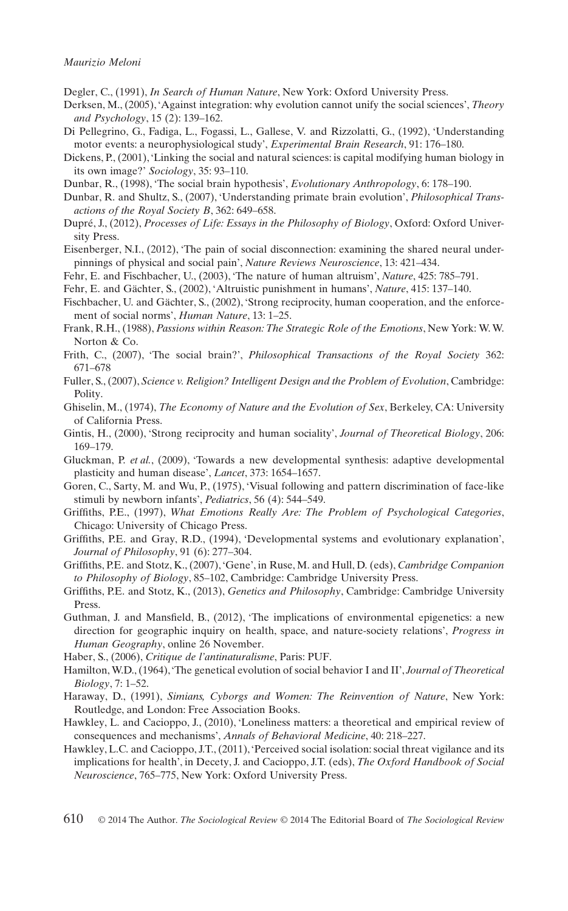- Degler, C., (1991), *In Search of Human Nature*, New York: Oxford University Press.
- Derksen, M., (2005), 'Against integration: why evolution cannot unify the social sciences', *Theory and Psychology*, 15 (2): 139–162.
- Di Pellegrino, G., Fadiga, L., Fogassi, L., Gallese, V. and Rizzolatti, G., (1992), 'Understanding motor events: a neurophysiological study', *Experimental Brain Research*, 91: 176–180.
- Dickens, P., (2001), 'Linking the social and natural sciences: is capital modifying human biology in its own image?' *Sociology*, 35: 93–110.
- Dunbar, R., (1998), 'The social brain hypothesis', *Evolutionary Anthropology*, 6: 178–190.
- Dunbar, R. and Shultz, S., (2007), 'Understanding primate brain evolution', *Philosophical Transactions of the Royal Society B*, 362: 649–658.
- Dupré, J., (2012), *Processes of Life: Essays in the Philosophy of Biology*, Oxford: Oxford University Press.
- Eisenberger, N.I., (2012), 'The pain of social disconnection: examining the shared neural underpinnings of physical and social pain', *Nature Reviews Neuroscience*, 13: 421–434.
- Fehr, E. and Fischbacher, U., (2003), 'The nature of human altruism', *Nature*, 425: 785–791.
- Fehr, E. and Gächter, S., (2002), 'Altruistic punishment in humans', *Nature*, 415: 137–140.
- Fischbacher, U. and Gächter, S., (2002), 'Strong reciprocity, human cooperation, and the enforcement of social norms', *Human Nature*, 13: 1–25.
- Frank, R.H., (1988), *Passions within Reason: The Strategic Role of the Emotions*, New York: W.W. Norton & Co.
- Frith, C., (2007), 'The social brain?', *Philosophical Transactions of the Royal Society* 362: 671–678
- Fuller, S., (2007), *Science v. Religion? Intelligent Design and the Problem of Evolution*, Cambridge: Polity.
- Ghiselin, M., (1974), *The Economy of Nature and the Evolution of Sex*, Berkeley, CA: University of California Press.
- Gintis, H., (2000), 'Strong reciprocity and human sociality', *Journal of Theoretical Biology*, 206: 169–179.
- Gluckman, P. *et al.*, (2009), 'Towards a new developmental synthesis: adaptive developmental plasticity and human disease', *Lancet*, 373: 1654–1657.
- Goren, C., Sarty, M. and Wu, P., (1975), 'Visual following and pattern discrimination of face-like stimuli by newborn infants', *Pediatrics*, 56 (4): 544–549.
- Griffiths, P.E., (1997), *What Emotions Really Are: The Problem of Psychological Categories*, Chicago: University of Chicago Press.
- Griffiths, P.E. and Gray, R.D., (1994), 'Developmental systems and evolutionary explanation', *Journal of Philosophy*, 91 (6): 277–304.
- Griffiths, P.E. and Stotz, K., (2007),'Gene', in Ruse, M. and Hull, D. (eds), *Cambridge Companion to Philosophy of Biology*, 85–102, Cambridge: Cambridge University Press.
- Griffiths, P.E. and Stotz, K., (2013), *Genetics and Philosophy*, Cambridge: Cambridge University Press.
- Guthman, J. and Mansfield, B., (2012), 'The implications of environmental epigenetics: a new direction for geographic inquiry on health, space, and nature-society relations', *Progress in Human Geography*, online 26 November.
- Haber, S., (2006), *Critique de l'antinaturalisme*, Paris: PUF.
- Hamilton,W.D., (1964),'The genetical evolution of social behavior I and II', *Journal of Theoretical Biology*, 7: 1–52.
- Haraway, D., (1991), *Simians, Cyborgs and Women: The Reinvention of Nature*, New York: Routledge, and London: Free Association Books.
- Hawkley, L. and Cacioppo, J., (2010), 'Loneliness matters: a theoretical and empirical review of consequences and mechanisms', *Annals of Behavioral Medicine*, 40: 218–227.
- Hawkley, L.C. and Cacioppo, J.T., (2011), 'Perceived social isolation: social threat vigilance and its implications for health', in Decety, J. and Cacioppo, J.T. (eds), *The Oxford Handbook of Social Neuroscience*, 765–775, New York: Oxford University Press.
- 610 © 2014 The Author. *The Sociological Review* © 2014 The Editorial Board of *The Sociological Review*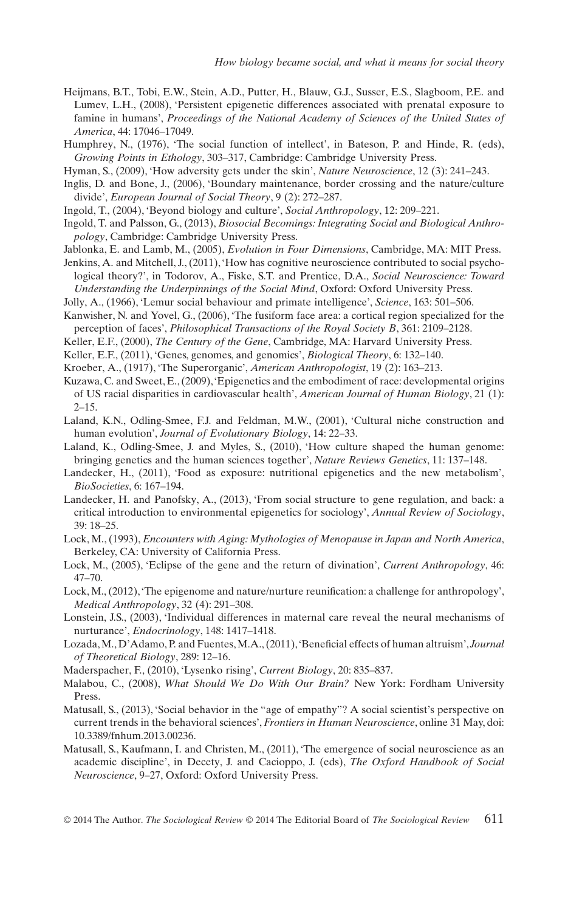- Heijmans, B.T., Tobi, E.W., Stein, A.D., Putter, H., Blauw, G.J., Susser, E.S., Slagboom, P.E. and Lumev, L.H., (2008), 'Persistent epigenetic differences associated with prenatal exposure to famine in humans', *Proceedings of the National Academy of Sciences of the United States of America*, 44: 17046–17049.
- Humphrey, N., (1976), 'The social function of intellect', in Bateson, P. and Hinde, R. (eds), *Growing Points in Ethology*, 303–317, Cambridge: Cambridge University Press.
- Hyman, S., (2009), 'How adversity gets under the skin', *Nature Neuroscience*, 12 (3): 241–243.
- Inglis, D. and Bone, J., (2006), 'Boundary maintenance, border crossing and the nature/culture divide', *European Journal of Social Theory*, 9 (2): 272–287.
- Ingold, T., (2004), 'Beyond biology and culture', *Social Anthropology*, 12: 209–221.
- Ingold, T. and Palsson, G., (2013), *Biosocial Becomings: Integrating Social and Biological Anthropology*, Cambridge: Cambridge University Press.
- Jablonka, E. and Lamb, M., (2005), *Evolution in Four Dimensions*, Cambridge, MA: MIT Press.
- Jenkins, A. and Mitchell, J., (2011),'How has cognitive neuroscience contributed to social psychological theory?', in Todorov, A., Fiske, S.T. and Prentice, D.A., *Social Neuroscience: Toward Understanding the Underpinnings of the Social Mind*, Oxford: Oxford University Press.
- Jolly, A., (1966), 'Lemur social behaviour and primate intelligence', *Science*, 163: 501–506.
- Kanwisher, N. and Yovel, G., (2006), 'The fusiform face area: a cortical region specialized for the perception of faces', *Philosophical Transactions of the Royal Society B*, 361: 2109–2128.
- Keller, E.F., (2000), *The Century of the Gene*, Cambridge, MA: Harvard University Press.
- Keller, E.F., (2011), 'Genes, genomes, and genomics', *Biological Theory*, 6: 132–140.
- Kroeber, A., (1917), 'The Superorganic', *American Anthropologist*, 19 (2): 163–213.
- Kuzawa, C. and Sweet, E., (2009),'Epigenetics and the embodiment of race: developmental origins of US racial disparities in cardiovascular health', *American Journal of Human Biology*, 21 (1):  $2 - 15$ .
- Laland, K.N., Odling-Smee, F.J. and Feldman, M.W., (2001), 'Cultural niche construction and human evolution', *Journal of Evolutionary Biology*, 14: 22–33.
- Laland, K., Odling-Smee, J. and Myles, S., (2010), 'How culture shaped the human genome: bringing genetics and the human sciences together', *Nature Reviews Genetics*, 11: 137–148.
- Landecker, H., (2011), 'Food as exposure: nutritional epigenetics and the new metabolism', *BioSocieties*, 6: 167–194.
- Landecker, H. and Panofsky, A., (2013), 'From social structure to gene regulation, and back: a critical introduction to environmental epigenetics for sociology', *Annual Review of Sociology*, 39: 18–25.
- Lock, M., (1993), *Encounters with Aging: Mythologies of Menopause in Japan and North America*, Berkeley, CA: University of California Press.
- Lock, M., (2005), 'Eclipse of the gene and the return of divination', *Current Anthropology*, 46: 47–70.
- Lock, M., (2012),'The epigenome and nature/nurture reunification: a challenge for anthropology', *Medical Anthropology*, 32 (4): 291–308.
- Lonstein, J.S., (2003), 'Individual differences in maternal care reveal the neural mechanisms of nurturance', *Endocrinology*, 148: 1417–1418.
- Lozada,M., D'Adamo, P. and Fuentes,M.A., (2011),'Beneficial effects of human altruism', *Journal of Theoretical Biology*, 289: 12–16.
- Maderspacher, F., (2010), 'Lysenko rising', *Current Biology*, 20: 835–837.
- Malabou, C., (2008), *What Should We Do With Our Brain?* New York: Fordham University Press.
- Matusall, S., (2013), 'Social behavior in the "age of empathy"? A social scientist's perspective on current trends in the behavioral sciences', *Frontiers in Human Neuroscience*, online 31 May, doi: 10.3389/fnhum.2013.00236.
- Matusall, S., Kaufmann, I. and Christen, M., (2011), 'The emergence of social neuroscience as an academic discipline', in Decety, J. and Cacioppo, J. (eds), *The Oxford Handbook of Social Neuroscience*, 9–27, Oxford: Oxford University Press.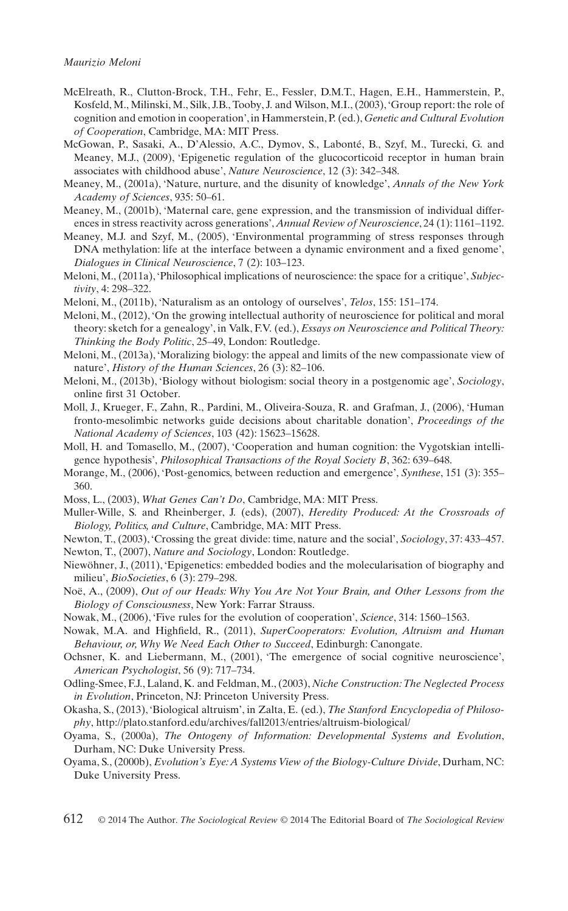- McElreath, R., Clutton-Brock, T.H., Fehr, E., Fessler, D.M.T., Hagen, E.H., Hammerstein, P., Kosfeld, M., Milinski, M., Silk, J.B., Tooby, J. and Wilson, M.I., (2003),'Group report: the role of cognition and emotion in cooperation', in Hammerstein, P. (ed.), *Genetic and Cultural Evolution of Cooperation*, Cambridge, MA: MIT Press.
- McGowan, P., Sasaki, A., D'Alessio, A.C., Dymov, S., Labonté, B., Szyf, M., Turecki, G. and Meaney, M.J., (2009), 'Epigenetic regulation of the glucocorticoid receptor in human brain associates with childhood abuse', *Nature Neuroscience*, 12 (3): 342–348.
- Meaney, M., (2001a), 'Nature, nurture, and the disunity of knowledge', *Annals of the New York Academy of Sciences*, 935: 50–61.
- Meaney, M., (2001b), 'Maternal care, gene expression, and the transmission of individual differences in stress reactivity across generations', *Annual Review of Neuroscience*, 24 (1): 1161–1192.
- Meaney, M.J. and Szyf, M., (2005), 'Environmental programming of stress responses through DNA methylation: life at the interface between a dynamic environment and a fixed genome', *Dialogues in Clinical Neuroscience*, 7 (2): 103–123.
- Meloni, M., (2011a), 'Philosophical implications of neuroscience: the space for a critique', *Subjectivity*, 4: 298–322.
- Meloni, M., (2011b), 'Naturalism as an ontology of ourselves', *Telos*, 155: 151–174.
- Meloni, M., (2012), 'On the growing intellectual authority of neuroscience for political and moral theory: sketch for a genealogy', in Valk, F.V. (ed.), *Essays on Neuroscience and Political Theory: Thinking the Body Politic*, 25–49, London: Routledge.
- Meloni, M., (2013a), 'Moralizing biology: the appeal and limits of the new compassionate view of nature', *History of the Human Sciences*, 26 (3): 82–106.
- Meloni, M., (2013b), 'Biology without biologism: social theory in a postgenomic age', *Sociology*, online first 31 October.
- Moll, J., Krueger, F., Zahn, R., Pardini, M., Oliveira-Souza, R. and Grafman, J., (2006), 'Human fronto-mesolimbic networks guide decisions about charitable donation', *Proceedings of the National Academy of Sciences*, 103 (42): 15623–15628.
- Moll, H. and Tomasello, M., (2007), 'Cooperation and human cognition: the Vygotskian intelligence hypothesis', *Philosophical Transactions of the Royal Society B*, 362: 639–648.
- Morange, M., (2006), 'Post-genomics, between reduction and emergence', *Synthese*, 151 (3): 355– 360.
- Moss, L., (2003), *What Genes Can't Do*, Cambridge, MA: MIT Press.
- Muller-Wille, S. and Rheinberger, J. (eds), (2007), *Heredity Produced: At the Crossroads of Biology, Politics, and Culture*, Cambridge, MA: MIT Press.
- Newton, T., (2003), 'Crossing the great divide: time, nature and the social', *Sociology*, 37: 433–457.
- Newton, T., (2007), *Nature and Sociology*, London: Routledge.
- Niewöhner, J., (2011), 'Epigenetics: embedded bodies and the molecularisation of biography and milieu', *BioSocieties*, 6 (3): 279–298.
- Noë, A., (2009), *Out of our Heads: Why You Are Not Your Brain, and Other Lessons from the Biology of Consciousness*, New York: Farrar Strauss.
- Nowak, M., (2006), 'Five rules for the evolution of cooperation', *Science*, 314: 1560–1563.
- Nowak, M.A. and Highfield, R., (2011), *SuperCooperators: Evolution, Altruism and Human Behaviour, or, Why We Need Each Other to Succeed*, Edinburgh: Canongate.
- Ochsner, K. and Liebermann, M., (2001), 'The emergence of social cognitive neuroscience', *American Psychologist*, 56 (9): 717–734.
- Odling-Smee, F.J., Laland, K. and Feldman, M., (2003), *Niche Construction:The Neglected Process in Evolution*, Princeton, NJ: Princeton University Press.
- Okasha, S., (2013), 'Biological altruism', in Zalta, E. (ed.), *The Stanford Encyclopedia of Philosophy*,<http://plato.stanford.edu/archives/fall2013/entries/altruism-biological/>
- Oyama, S., (2000a), *The Ontogeny of Information: Developmental Systems and Evolution*, Durham, NC: Duke University Press.
- Oyama, S., (2000b), *Evolution's Eye: A Systems View of the Biology-Culture Divide*, Durham, NC: Duke University Press.
- 612 © 2014 The Author. *The Sociological Review* © 2014 The Editorial Board of *The Sociological Review*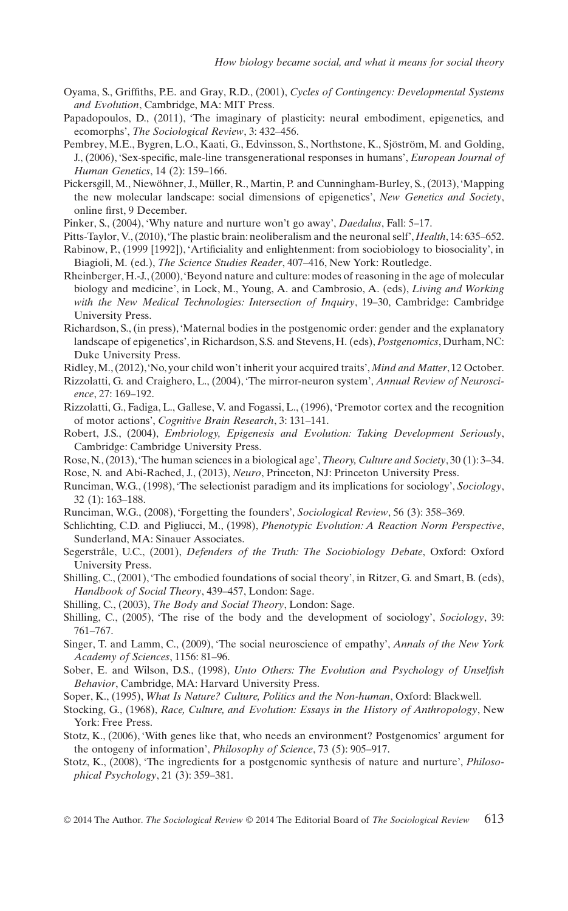- Oyama, S., Griffiths, P.E. and Gray, R.D., (2001), *Cycles of Contingency: Developmental Systems and Evolution*, Cambridge, MA: MIT Press.
- Papadopoulos, D., (2011), 'The imaginary of plasticity: neural embodiment, epigenetics, and ecomorphs', *The Sociological Review*, 3: 432–456.
- Pembrey, M.E., Bygren, L.O., Kaati, G., Edvinsson, S., Northstone, K., Sjöström, M. and Golding, J., (2006), 'Sex-specific, male-line transgenerational responses in humans', *European Journal of Human Genetics*, 14 (2): 159–166.
- Pickersgill, M., Niewöhner, J., Müller, R., Martin, P. and Cunningham-Burley, S., (2013), 'Mapping the new molecular landscape: social dimensions of epigenetics', *New Genetics and Society*, online first, 9 December.
- Pinker, S., (2004), 'Why nature and nurture won't go away', *Daedalus*, Fall: 5–17.
- Pitts-Taylor, V., (2010),'The plastic brain: neoliberalism and the neuronal self', *Health*, 14: 635–652.
- Rabinow, P., (1999 [1992]), 'Artificiality and enlightenment: from sociobiology to biosociality', in Biagioli, M. (ed.), *The Science Studies Reader*, 407–416, New York: Routledge.
- Rheinberger, H.-J., (2000),'Beyond nature and culture: modes of reasoning in the age of molecular biology and medicine', in Lock, M., Young, A. and Cambrosio, A. (eds), *Living and Working with the New Medical Technologies: Intersection of Inquiry*, 19–30, Cambridge: Cambridge University Press.
- Richardson, S., (in press),'Maternal bodies in the postgenomic order: gender and the explanatory landscape of epigenetics', in Richardson, S.S. and Stevens, H. (eds),*Postgenomics*, Durham, NC: Duke University Press.
- Ridley,M., (2012),'No, your child won't inherit your acquired traits',*Mind and Matter*, 12 October.
- Rizzolatti, G. and Craighero, L., (2004), 'The mirror-neuron system', *Annual Review of Neuroscience*, 27: 169–192.
- Rizzolatti, G., Fadiga, L., Gallese, V. and Fogassi, L., (1996), 'Premotor cortex and the recognition of motor actions', *Cognitive Brain Research*, 3: 131–141.
- Robert, J.S., (2004), *Embriology, Epigenesis and Evolution: Taking Development Seriously*, Cambridge: Cambridge University Press.
- Rose, N., (2013),'The human sciences in a biological age',*Theory, Culture and Society*, 30 (1): 3–34.
- Rose, N. and Abi-Rached, J., (2013), *Neuro*, Princeton, NJ: Princeton University Press.
- Runciman, W.G., (1998), 'The selectionist paradigm and its implications for sociology', *Sociology*, 32 (1): 163–188.
- Runciman, W.G., (2008), 'Forgetting the founders', *Sociological Review*, 56 (3): 358–369.
- Schlichting, C.D. and Pigliucci, M., (1998), *Phenotypic Evolution: A Reaction Norm Perspective*, Sunderland, MA: Sinauer Associates.
- Segerstråle, U.C., (2001), *Defenders of the Truth: The Sociobiology Debate*, Oxford: Oxford University Press.
- Shilling, C., (2001),'The embodied foundations of social theory', in Ritzer, G. and Smart, B. (eds), *Handbook of Social Theory*, 439–457, London: Sage.
- Shilling, C., (2003), *The Body and Social Theory*, London: Sage.
- Shilling, C., (2005), 'The rise of the body and the development of sociology', *Sociology*, 39: 761–767.
- Singer, T. and Lamm, C., (2009), 'The social neuroscience of empathy', *Annals of the New York Academy of Sciences*, 1156: 81–96.
- Sober, E. and Wilson, D.S., (1998), *Unto Others: The Evolution and Psychology of Unselfish Behavior*, Cambridge, MA: Harvard University Press.
- Soper, K., (1995), *What Is Nature? Culture, Politics and the Non-human*, Oxford: Blackwell.
- Stocking, G., (1968), *Race, Culture, and Evolution: Essays in the History of Anthropology*, New York: Free Press.
- Stotz, K., (2006), 'With genes like that, who needs an environment? Postgenomics' argument for the ontogeny of information', *Philosophy of Science*, 73 (5): 905–917.
- Stotz, K., (2008), 'The ingredients for a postgenomic synthesis of nature and nurture', *Philosophical Psychology*, 21 (3): 359–381.
- © 2014 The Author. *The Sociological Review* © 2014 The Editorial Board of *The Sociological Review* 613